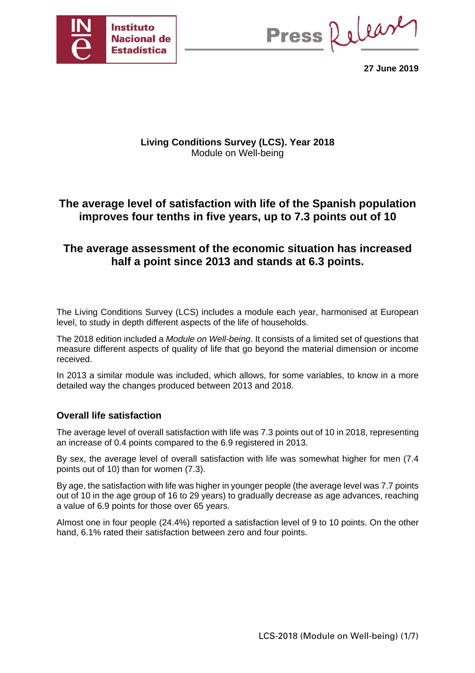

Press Release

**27 June 2019** 

## **Living Conditions Survey (LCS). Year 2018**  Module on Well-being

# **The average level of satisfaction with life of the Spanish population improves four tenths in five years, up to 7.3 points out of 10**

# **The average assessment of the economic situation has increased half a point since 2013 and stands at 6.3 points.**

The Living Conditions Survey (LCS) includes a module each year, harmonised at European level, to study in depth different aspects of the life of households.

The 2018 edition included a *Module on Well-being*. It consists of a limited set of questions that measure different aspects of quality of life that go beyond the material dimension or income received.

In 2013 a similar module was included, which allows, for some variables, to know in a more detailed way the changes produced between 2013 and 2018.

## **Overall life satisfaction**

The average level of overall satisfaction with life was 7.3 points out of 10 in 2018, representing an increase of 0.4 points compared to the 6.9 registered in 2013.

By sex, the average level of overall satisfaction with life was somewhat higher for men (7.4 points out of 10) than for women (7.3).

By age, the satisfaction with life was higher in younger people (the average level was 7.7 points out of 10 in the age group of 16 to 29 years) to gradually decrease as age advances, reaching a value of 6.9 points for those over 65 years.

Almost one in four people (24.4%) reported a satisfaction level of 9 to 10 points. On the other hand, 6.1% rated their satisfaction between zero and four points.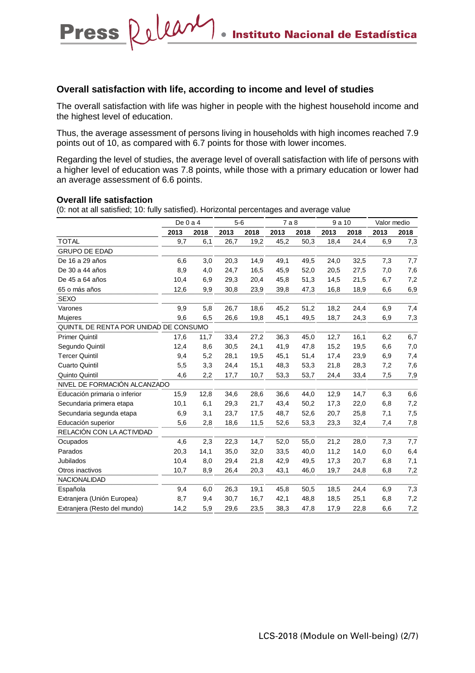### **Overall satisfaction with life, according to income and level of studies**

The overall satisfaction with life was higher in people with the highest household income and the highest level of education.

Thus, the average assessment of persons living in households with high incomes reached 7.9 points out of 10, as compared with 6.7 points for those with lower incomes.

Regarding the level of studies, the average level of overall satisfaction with life of persons with a higher level of education was 7.8 points, while those with a primary education or lower had an average assessment of 6.6 points.

#### **Overall life satisfaction**

Press Releary

|                                        | De $0a4$ |      | $5-6$ |      | 7a8  |      | 9a10 |      | Valor medio |      |
|----------------------------------------|----------|------|-------|------|------|------|------|------|-------------|------|
|                                        | 2013     | 2018 | 2013  | 2018 | 2013 | 2018 | 2013 | 2018 | 2013        | 2018 |
| <b>TOTAL</b>                           | 9,7      | 6,1  | 26,7  | 19,2 | 45,2 | 50,3 | 18,4 | 24,4 | 6,9         | 7,3  |
| <b>GRUPO DE EDAD</b>                   |          |      |       |      |      |      |      |      |             |      |
| De 16 a 29 años                        | 6,6      | 3,0  | 20,3  | 14,9 | 49,1 | 49,5 | 24,0 | 32,5 | 7,3         | 7,7  |
| De 30 a 44 años                        | 8,9      | 4,0  | 24,7  | 16,5 | 45,9 | 52,0 | 20,5 | 27,5 | 7,0         | 7,6  |
| De 45 a 64 años                        | 10,4     | 6,9  | 29,3  | 20,4 | 45,8 | 51,3 | 14,5 | 21,5 | 6,7         | 7,2  |
| 65 o más años                          | 12,6     | 9,9  | 30,8  | 23,9 | 39,8 | 47,3 | 16,8 | 18,9 | 6,6         | 6,9  |
| <b>SEXO</b>                            |          |      |       |      |      |      |      |      |             |      |
| Varones                                | 9,9      | 5,8  | 26,7  | 18,6 | 45,2 | 51,2 | 18,2 | 24,4 | 6,9         | 7,4  |
| <b>Mujeres</b>                         | 9,6      | 6,5  | 26,6  | 19,8 | 45,1 | 49,5 | 18,7 | 24,3 | 6,9         | 7,3  |
| QUINTIL DE RENTA POR UNIDAD DE CONSUMO |          |      |       |      |      |      |      |      |             |      |
| <b>Primer Quintil</b>                  | 17,6     | 11,7 | 33,4  | 27,2 | 36,3 | 45,0 | 12,7 | 16,1 | 6,2         | 6,7  |
| Segundo Quintil                        | 12,4     | 8,6  | 30,5  | 24,1 | 41,9 | 47,8 | 15,2 | 19,5 | 6,6         | 7,0  |
| <b>Tercer Quintil</b>                  | 9,4      | 5,2  | 28,1  | 19,5 | 45,1 | 51,4 | 17,4 | 23,9 | 6,9         | 7,4  |
| <b>Cuarto Quintil</b>                  | 5,5      | 3,3  | 24,4  | 15,1 | 48,3 | 53,3 | 21,8 | 28,3 | 7,2         | 7,6  |
| Quinto Quintil                         | 4,6      | 2,2  | 17,7  | 10,7 | 53,3 | 53,7 | 24,4 | 33,4 | 7,5         | 7,9  |
| NIVEL DE FORMACIÓN ALCANZADO           |          |      |       |      |      |      |      |      |             |      |
| Educación primaria o inferior          | 15,9     | 12,8 | 34,6  | 28,6 | 36,6 | 44,0 | 12,9 | 14,7 | 6,3         | 6,6  |
| Secundaria primera etapa               | 10,1     | 6,1  | 29,3  | 21,7 | 43,4 | 50,2 | 17,3 | 22,0 | 6,8         | 7,2  |
| Secundaria segunda etapa               | 6,9      | 3,1  | 23,7  | 17,5 | 48,7 | 52,6 | 20,7 | 25,8 | 7,1         | 7,5  |
| Educación superior                     | 5,6      | 2,8  | 18,6  | 11,5 | 52,6 | 53,3 | 23,3 | 32,4 | 7,4         | 7,8  |
| RELACIÓN CON LA ACTIVIDAD              |          |      |       |      |      |      |      |      |             |      |
| Ocupados                               | 4,6      | 2,3  | 22,3  | 14,7 | 52,0 | 55,0 | 21,2 | 28,0 | 7,3         | 7,7  |
| Parados                                | 20,3     | 14,1 | 35,0  | 32,0 | 33,5 | 40,0 | 11,2 | 14,0 | 6,0         | 6,4  |
| <b>Jubilados</b>                       | 10,4     | 8,0  | 29,4  | 21,8 | 42,9 | 49,5 | 17,3 | 20,7 | 6,8         | 7,1  |
| Otros inactivos                        | 10,7     | 8,9  | 26,4  | 20,3 | 43,1 | 46,0 | 19,7 | 24,8 | 6,8         | 7,2  |
| NACIONALIDAD                           |          |      |       |      |      |      |      |      |             |      |
| Española                               | 9,4      | 6,0  | 26,3  | 19,1 | 45,8 | 50,5 | 18,5 | 24,4 | 6,9         | 7,3  |
| Extranjera (Unión Europea)             | 8,7      | 9,4  | 30,7  | 16,7 | 42,1 | 48,8 | 18,5 | 25,1 | 6,8         | 7,2  |
| Extranjera (Resto del mundo)           | 14,2     | 5,9  | 29,6  | 23,5 | 38,3 | 47,8 | 17,9 | 22,8 | 6,6         | 7,2  |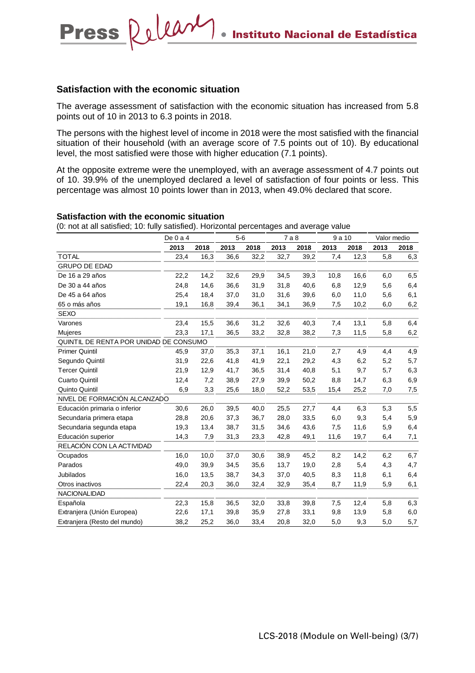#### **Satisfaction with the economic situation**

Press Releary

The average assessment of satisfaction with the economic situation has increased from 5.8 points out of 10 in 2013 to 6.3 points in 2018.

The persons with the highest level of income in 2018 were the most satisfied with the financial situation of their household (with an average score of 7.5 points out of 10). By educational level, the most satisfied were those with higher education (7.1 points).

At the opposite extreme were the unemployed, with an average assessment of 4.7 points out of 10. 39.9% of the unemployed declared a level of satisfaction of four points or less. This percentage was almost 10 points lower than in 2013, when 49.0% declared that score.

#### **Satisfaction with the economic situation**

|                                        | De $0a4$ |      | $5-6$ |      | 7a8  |      | 9a10 |      | Valor medio |      |
|----------------------------------------|----------|------|-------|------|------|------|------|------|-------------|------|
|                                        | 2013     | 2018 | 2013  | 2018 | 2013 | 2018 | 2013 | 2018 | 2013        | 2018 |
| <b>TOTAL</b>                           | 23,4     | 16,3 | 36,6  | 32,2 | 32,7 | 39,2 | 7,4  | 12,3 | 5,8         | 6,3  |
| <b>GRUPO DE EDAD</b>                   |          |      |       |      |      |      |      |      |             |      |
| De 16 a 29 años                        | 22,2     | 14,2 | 32,6  | 29,9 | 34,5 | 39,3 | 10,8 | 16,6 | 6,0         | 6,5  |
| De 30 a 44 años                        | 24,8     | 14,6 | 36,6  | 31,9 | 31,8 | 40,6 | 6,8  | 12,9 | 5,6         | 6,4  |
| De 45 a 64 años                        | 25,4     | 18,4 | 37,0  | 31,0 | 31,6 | 39,6 | 6,0  | 11,0 | 5,6         | 6,1  |
| 65 o más años                          | 19,1     | 16,8 | 39,4  | 36,1 | 34,1 | 36,9 | 7,5  | 10,2 | 6,0         | 6,2  |
| <b>SEXO</b>                            |          |      |       |      |      |      |      |      |             |      |
| Varones                                | 23,4     | 15,5 | 36,6  | 31,2 | 32,6 | 40,3 | 7,4  | 13,1 | 5,8         | 6,4  |
| Mujeres                                | 23,3     | 17,1 | 36,5  | 33,2 | 32,8 | 38,2 | 7,3  | 11,5 | 5,8         | 6,2  |
| QUINTIL DE RENTA POR UNIDAD DE CONSUMO |          |      |       |      |      |      |      |      |             |      |
| <b>Primer Quintil</b>                  | 45,9     | 37,0 | 35,3  | 37,1 | 16,1 | 21,0 | 2,7  | 4,9  | 4,4         | 4,9  |
| Segundo Quintil                        | 31,9     | 22,6 | 41,8  | 41,9 | 22,1 | 29,2 | 4,3  | 6,2  | 5,2         | 5,7  |
| <b>Tercer Quintil</b>                  | 21,9     | 12,9 | 41,7  | 36,5 | 31,4 | 40,8 | 5,1  | 9,7  | 5,7         | 6,3  |
| <b>Cuarto Quintil</b>                  | 12,4     | 7,2  | 38,9  | 27,9 | 39,9 | 50,2 | 8,8  | 14,7 | 6,3         | 6,9  |
| Quinto Quintil                         | 6,9      | 3,3  | 25,6  | 18,0 | 52,2 | 53,5 | 15,4 | 25,2 | 7,0         | 7,5  |
| NIVEL DE FORMACIÓN ALCANZADO           |          |      |       |      |      |      |      |      |             |      |
| Educación primaria o inferior          | 30,6     | 26,0 | 39,5  | 40,0 | 25,5 | 27,7 | 4,4  | 6,3  | 5,3         | 5,5  |
| Secundaria primera etapa               | 28,8     | 20,6 | 37,3  | 36,7 | 28,0 | 33,5 | 6,0  | 9,3  | 5,4         | 5,9  |
| Secundaria segunda etapa               | 19,3     | 13,4 | 38,7  | 31,5 | 34,6 | 43,6 | 7,5  | 11,6 | 5,9         | 6,4  |
| Educación superior                     | 14,3     | 7,9  | 31,3  | 23,3 | 42,8 | 49,1 | 11,6 | 19,7 | 6,4         | 7,1  |
| RELACIÓN CON LA ACTIVIDAD              |          |      |       |      |      |      |      |      |             |      |
| Ocupados                               | 16,0     | 10,0 | 37,0  | 30,6 | 38,9 | 45,2 | 8,2  | 14,2 | 6,2         | 6,7  |
| Parados                                | 49,0     | 39,9 | 34,5  | 35,6 | 13,7 | 19,0 | 2,8  | 5,4  | 4,3         | 4,7  |
| <b>Jubilados</b>                       | 16,0     | 13,5 | 38,7  | 34,3 | 37,0 | 40,5 | 8,3  | 11,8 | 6,1         | 6,4  |
| Otros inactivos                        | 22,4     | 20,3 | 36,0  | 32,4 | 32,9 | 35,4 | 8,7  | 11,9 | 5,9         | 6,1  |
| <b>NACIONALIDAD</b>                    |          |      |       |      |      |      |      |      |             |      |
| Española                               | 22,3     | 15,8 | 36,5  | 32,0 | 33,8 | 39,8 | 7,5  | 12,4 | 5,8         | 6,3  |
| Extranjera (Unión Europea)             | 22,6     | 17,1 | 39,8  | 35,9 | 27,8 | 33,1 | 9,8  | 13,9 | 5,8         | 6,0  |
| Extranjera (Resto del mundo)           | 38,2     | 25,2 | 36,0  | 33,4 | 20,8 | 32,0 | 5,0  | 9,3  | 5,0         | 5,7  |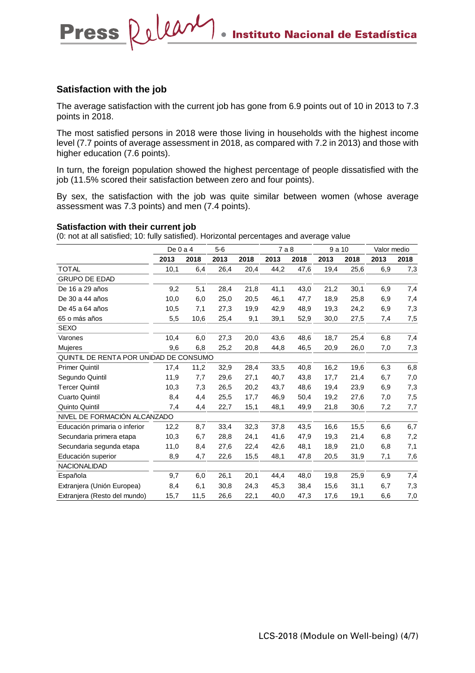### **Satisfaction with the job**

Press Releary

The average satisfaction with the current job has gone from 6.9 points out of 10 in 2013 to 7.3 points in 2018.

The most satisfied persons in 2018 were those living in households with the highest income level (7.7 points of average assessment in 2018, as compared with 7.2 in 2013) and those with higher education (7.6 points).

In turn, the foreign population showed the highest percentage of people dissatisfied with the job (11.5% scored their satisfaction between zero and four points).

By sex, the satisfaction with the job was quite similar between women (whose average assessment was 7.3 points) and men (7.4 points).

#### **Satisfaction with their current job**

|                                        | De $0a4$ |      | $5-6$ |      | 7 a 8 |      | 9 a 10 |      | Valor medio |      |
|----------------------------------------|----------|------|-------|------|-------|------|--------|------|-------------|------|
|                                        | 2013     | 2018 | 2013  | 2018 | 2013  | 2018 | 2013   | 2018 | 2013        | 2018 |
| <b>TOTAL</b>                           | 10,1     | 6,4  | 26,4  | 20,4 | 44,2  | 47,6 | 19,4   | 25,6 | 6,9         | 7,3  |
| <b>GRUPO DE EDAD</b>                   |          |      |       |      |       |      |        |      |             |      |
| De 16 a 29 años                        | 9,2      | 5,1  | 28,4  | 21,8 | 41,1  | 43,0 | 21,2   | 30,1 | 6,9         | 7,4  |
| De 30 a 44 años                        | 10,0     | 6,0  | 25,0  | 20,5 | 46,1  | 47,7 | 18,9   | 25,8 | 6,9         | 7,4  |
| De 45 a 64 años                        | 10,5     | 7,1  | 27,3  | 19,9 | 42,9  | 48,9 | 19,3   | 24,2 | 6,9         | 7,3  |
| 65 o más años                          | 5,5      | 10,6 | 25,4  | 9,1  | 39,1  | 52,9 | 30,0   | 27,5 | 7,4         | 7,5  |
| <b>SEXO</b>                            |          |      |       |      |       |      |        |      |             |      |
| Varones                                | 10,4     | 6,0  | 27,3  | 20,0 | 43,6  | 48,6 | 18,7   | 25,4 | 6,8         | 7,4  |
| Mujeres                                | 9,6      | 6,8  | 25,2  | 20,8 | 44,8  | 46,5 | 20,9   | 26,0 | 7,0         | 7,3  |
| QUINTIL DE RENTA POR UNIDAD DE CONSUMO |          |      |       |      |       |      |        |      |             |      |
| <b>Primer Quintil</b>                  | 17,4     | 11,2 | 32,9  | 28,4 | 33,5  | 40,8 | 16,2   | 19,6 | 6,3         | 6,8  |
| Segundo Quintil                        | 11,9     | 7,7  | 29,6  | 27,1 | 40,7  | 43,8 | 17,7   | 21,4 | 6,7         | 7,0  |
| <b>Tercer Quintil</b>                  | 10,3     | 7,3  | 26,5  | 20,2 | 43,7  | 48,6 | 19,4   | 23,9 | 6,9         | 7,3  |
| <b>Cuarto Quintil</b>                  | 8,4      | 4,4  | 25,5  | 17,7 | 46,9  | 50,4 | 19,2   | 27,6 | 7,0         | 7,5  |
| Quinto Quintil                         | 7,4      | 4,4  | 22,7  | 15,1 | 48,1  | 49,9 | 21,8   | 30,6 | 7,2         | 7,7  |
| NIVEL DE FORMACIÓN ALCANZADO           |          |      |       |      |       |      |        |      |             |      |
| Educación primaria o inferior          | 12,2     | 8,7  | 33,4  | 32,3 | 37,8  | 43,5 | 16,6   | 15,5 | 6,6         | 6,7  |
| Secundaria primera etapa               | 10,3     | 6,7  | 28,8  | 24,1 | 41,6  | 47,9 | 19,3   | 21,4 | 6,8         | 7,2  |
| Secundaria segunda etapa               | 11,0     | 8,4  | 27,6  | 22,4 | 42,6  | 48,1 | 18,9   | 21,0 | 6,8         | 7,1  |
| Educación superior                     | 8,9      | 4,7  | 22,6  | 15,5 | 48,1  | 47,8 | 20,5   | 31,9 | 7,1         | 7,6  |
| <b>NACIONALIDAD</b>                    |          |      |       |      |       |      |        |      |             |      |
| Española                               | 9,7      | 6,0  | 26,1  | 20,1 | 44,4  | 48,0 | 19,8   | 25,9 | 6,9         | 7,4  |
| Extranjera (Unión Europea)             | 8,4      | 6,1  | 30,8  | 24,3 | 45,3  | 38,4 | 15,6   | 31,1 | 6,7         | 7,3  |
| Extranjera (Resto del mundo)           | 15,7     | 11,5 | 26,6  | 22,1 | 40,0  | 47,3 | 17,6   | 19,1 | 6,6         | 7,0  |
|                                        |          |      |       |      |       |      |        |      |             |      |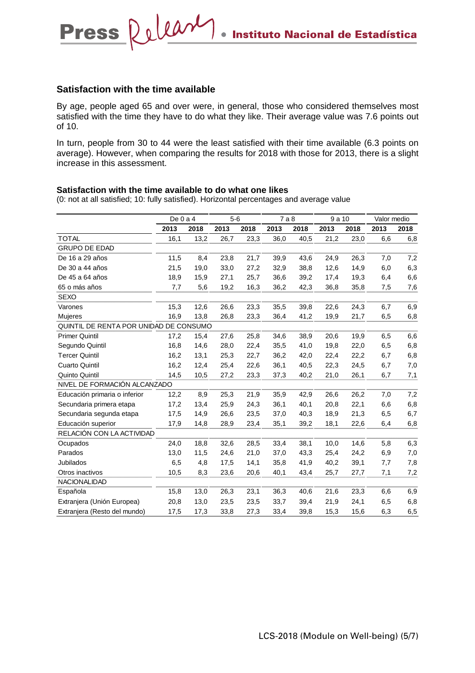### **Satisfaction with the time available**

Press Releary

By age, people aged 65 and over were, in general, those who considered themselves most satisfied with the time they have to do what they like. Their average value was 7.6 points out of 10.

In turn, people from 30 to 44 were the least satisfied with their time available (6.3 points on average). However, when comparing the results for 2018 with those for 2013, there is a slight increase in this assessment.

#### **Satisfaction with the time available to do what one likes**

|                                        | De $0a4$ |      | $5-6$ |      | 7a8  |      | 9a10 |      | Valor medio |      |
|----------------------------------------|----------|------|-------|------|------|------|------|------|-------------|------|
|                                        | 2013     | 2018 | 2013  | 2018 | 2013 | 2018 | 2013 | 2018 | 2013        | 2018 |
| <b>TOTAL</b>                           | 16,1     | 13,2 | 26,7  | 23,3 | 36,0 | 40,5 | 21,2 | 23,0 | 6,6         | 6,8  |
| <b>GRUPO DE EDAD</b>                   |          |      |       |      |      |      |      |      |             |      |
| De 16 a 29 años                        | 11,5     | 8,4  | 23,8  | 21,7 | 39,9 | 43,6 | 24,9 | 26,3 | 7,0         | 7,2  |
| De 30 a 44 años                        | 21,5     | 19,0 | 33,0  | 27,2 | 32,9 | 38,8 | 12,6 | 14,9 | 6,0         | 6,3  |
| De 45 a 64 años                        | 18,9     | 15,9 | 27,1  | 25,7 | 36,6 | 39,2 | 17,4 | 19,3 | 6,4         | 6,6  |
| 65 o más años                          | 7,7      | 5,6  | 19,2  | 16,3 | 36,2 | 42,3 | 36,8 | 35,8 | 7,5         | 7,6  |
| <b>SEXO</b>                            |          |      |       |      |      |      |      |      |             |      |
| Varones                                | 15,3     | 12,6 | 26,6  | 23,3 | 35,5 | 39,8 | 22,6 | 24,3 | 6,7         | 6,9  |
| Mujeres                                | 16,9     | 13,8 | 26,8  | 23,3 | 36,4 | 41,2 | 19,9 | 21,7 | 6,5         | 6,8  |
| QUINTIL DE RENTA POR UNIDAD DE CONSUMO |          |      |       |      |      |      |      |      |             |      |
| <b>Primer Quintil</b>                  | 17,2     | 15,4 | 27,6  | 25,8 | 34,6 | 38,9 | 20,6 | 19,9 | 6,5         | 6,6  |
| Segundo Quintil                        | 16,8     | 14,6 | 28,0  | 22,4 | 35,5 | 41,0 | 19,8 | 22,0 | 6,5         | 6,8  |
| <b>Tercer Quintil</b>                  | 16,2     | 13,1 | 25,3  | 22,7 | 36,2 | 42,0 | 22,4 | 22,2 | 6,7         | 6,8  |
| <b>Cuarto Quintil</b>                  | 16,2     | 12,4 | 25,4  | 22,6 | 36,1 | 40,5 | 22,3 | 24,5 | 6,7         | 7,0  |
| Quinto Quintil                         | 14,5     | 10,5 | 27,2  | 23,3 | 37,3 | 40,2 | 21,0 | 26,1 | 6,7         | 7,1  |
| NIVEL DE FORMACIÓN ALCANZADO           |          |      |       |      |      |      |      |      |             |      |
| Educación primaria o inferior          | 12,2     | 8,9  | 25,3  | 21,9 | 35,9 | 42,9 | 26,6 | 26,2 | 7,0         | 7,2  |
| Secundaria primera etapa               | 17,2     | 13,4 | 25,9  | 24,3 | 36,1 | 40,1 | 20,8 | 22,1 | 6,6         | 6,8  |
| Secundaria segunda etapa               | 17,5     | 14,9 | 26,6  | 23,5 | 37,0 | 40,3 | 18,9 | 21,3 | 6,5         | 6,7  |
| Educación superior                     | 17,9     | 14,8 | 28,9  | 23,4 | 35,1 | 39,2 | 18,1 | 22,6 | 6,4         | 6,8  |
| RELACIÓN CON LA ACTIVIDAD              |          |      |       |      |      |      |      |      |             |      |
| Ocupados                               | 24,0     | 18,8 | 32,6  | 28,5 | 33,4 | 38,1 | 10,0 | 14,6 | 5,8         | 6,3  |
| Parados                                | 13,0     | 11,5 | 24,6  | 21,0 | 37,0 | 43,3 | 25,4 | 24,2 | 6,9         | 7,0  |
| <b>Jubilados</b>                       | 6,5      | 4,8  | 17,5  | 14,1 | 35,8 | 41,9 | 40,2 | 39,1 | 7,7         | 7,8  |
| Otros inactivos                        | 10,5     | 8,3  | 23,6  | 20,6 | 40,1 | 43,4 | 25,7 | 27,7 | 7,1         | 7,2  |
| <b>NACIONALIDAD</b>                    |          |      |       |      |      |      |      |      |             |      |
| Española                               | 15,8     | 13,0 | 26,3  | 23,1 | 36,3 | 40,6 | 21,6 | 23,3 | 6,6         | 6,9  |
| Extranjera (Unión Europea)             | 20,8     | 13,0 | 23,5  | 23,5 | 33,7 | 39,4 | 21,9 | 24,1 | 6,5         | 6,8  |
| Extranjera (Resto del mundo)           | 17,5     | 17,3 | 33,8  | 27,3 | 33,4 | 39,8 | 15,3 | 15,6 | 6,3         | 6,5  |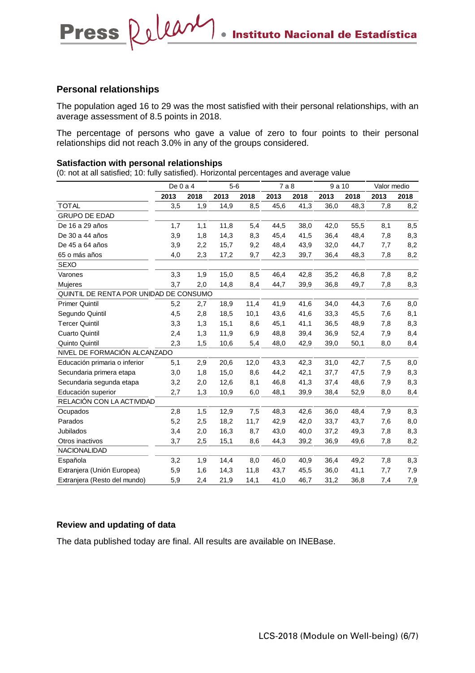#### **Personal relationships**

The population aged 16 to 29 was the most satisfied with their personal relationships, with an average assessment of 8.5 points in 2018.

The percentage of persons who gave a value of zero to four points to their personal relationships did not reach 3.0% in any of the groups considered.

#### **Satisfaction with personal relationships**

(0: not at all satisfied; 10: fully satisfied). Horizontal percentages and average value

|                                        | De $0a4$ |      | $5-6$ |      | 7a8  |      | 9 a 10 |      | Valor medio |      |
|----------------------------------------|----------|------|-------|------|------|------|--------|------|-------------|------|
|                                        | 2013     | 2018 | 2013  | 2018 | 2013 | 2018 | 2013   | 2018 | 2013        | 2018 |
| <b>TOTAL</b>                           | 3,5      | 1,9  | 14,9  | 8,5  | 45,6 | 41,3 | 36,0   | 48,3 | 7,8         | 8,2  |
| <b>GRUPO DE EDAD</b>                   |          |      |       |      |      |      |        |      |             |      |
| De 16 a 29 años                        | 1,7      | 1,1  | 11,8  | 5,4  | 44,5 | 38,0 | 42,0   | 55,5 | 8,1         | 8,5  |
| De 30 a 44 años                        | 3,9      | 1,8  | 14,3  | 8,3  | 45,4 | 41,5 | 36,4   | 48,4 | 7,8         | 8,3  |
| De 45 a 64 años                        | 3,9      | 2,2  | 15,7  | 9,2  | 48,4 | 43,9 | 32,0   | 44,7 | 7,7         | 8,2  |
| 65 o más años                          | 4,0      | 2,3  | 17,2  | 9,7  | 42,3 | 39,7 | 36,4   | 48,3 | 7,8         | 8,2  |
| <b>SEXO</b>                            |          |      |       |      |      |      |        |      |             |      |
| Varones                                | 3,3      | 1,9  | 15,0  | 8,5  | 46,4 | 42,8 | 35,2   | 46,8 | 7,8         | 8,2  |
| Mujeres                                | 3,7      | 2,0  | 14,8  | 8,4  | 44,7 | 39,9 | 36,8   | 49,7 | 7,8         | 8,3  |
| QUINTIL DE RENTA POR UNIDAD DE CONSUMO |          |      |       |      |      |      |        |      |             |      |
| <b>Primer Quintil</b>                  | 5,2      | 2,7  | 18,9  | 11,4 | 41,9 | 41,6 | 34,0   | 44,3 | 7,6         | 8,0  |
| Segundo Quintil                        | 4,5      | 2,8  | 18,5  | 10,1 | 43,6 | 41,6 | 33,3   | 45,5 | 7,6         | 8,1  |
| <b>Tercer Quintil</b>                  | 3,3      | 1,3  | 15,1  | 8,6  | 45,1 | 41,1 | 36,5   | 48,9 | 7,8         | 8,3  |
| <b>Cuarto Quintil</b>                  | 2,4      | 1,3  | 11,9  | 6,9  | 48,8 | 39,4 | 36,9   | 52,4 | 7,9         | 8,4  |
| Quinto Quintil                         | 2,3      | 1,5  | 10,6  | 5,4  | 48,0 | 42,9 | 39,0   | 50,1 | 8,0         | 8,4  |
| NIVEL DE FORMACIÓN ALCANZADO           |          |      |       |      |      |      |        |      |             |      |
| Educación primaria o inferior          | 5,1      | 2,9  | 20,6  | 12,0 | 43,3 | 42,3 | 31,0   | 42,7 | 7,5         | 8,0  |
| Secundaria primera etapa               | 3,0      | 1,8  | 15,0  | 8,6  | 44,2 | 42,1 | 37,7   | 47,5 | 7,9         | 8,3  |
| Secundaria segunda etapa               | 3,2      | 2,0  | 12,6  | 8,1  | 46,8 | 41,3 | 37,4   | 48,6 | 7,9         | 8,3  |
| Educación superior                     | 2,7      | 1,3  | 10,9  | 6,0  | 48,1 | 39,9 | 38,4   | 52,9 | 8,0         | 8,4  |
| RELACIÓN CON LA ACTIVIDAD              |          |      |       |      |      |      |        |      |             |      |
| Ocupados                               | 2,8      | 1,5  | 12,9  | 7,5  | 48,3 | 42,6 | 36,0   | 48,4 | 7,9         | 8,3  |
| Parados                                | 5,2      | 2,5  | 18,2  | 11,7 | 42,9 | 42,0 | 33,7   | 43,7 | 7,6         | 8,0  |
| <b>Jubilados</b>                       | 3,4      | 2,0  | 16,3  | 8,7  | 43,0 | 40,0 | 37,2   | 49,3 | 7,8         | 8,3  |
| Otros inactivos                        | 3,7      | 2,5  | 15,1  | 8,6  | 44,3 | 39,2 | 36,9   | 49,6 | 7,8         | 8,2  |
| NACIONALIDAD                           |          |      |       |      |      |      |        |      |             |      |
| Española                               | 3,2      | 1,9  | 14,4  | 8,0  | 46,0 | 40,9 | 36,4   | 49,2 | 7,8         | 8,3  |
| Extranjera (Unión Europea)             | 5,9      | 1,6  | 14,3  | 11,8 | 43,7 | 45,5 | 36,0   | 41,1 | 7,7         | 7,9  |
| Extranjera (Resto del mundo)           | 5,9      | 2,4  | 21,9  | 14,1 | 41,0 | 46,7 | 31,2   | 36,8 | 7,4         | 7,9  |

#### **Review and updating of data**

The data published today are final. All results are available on INEBase.